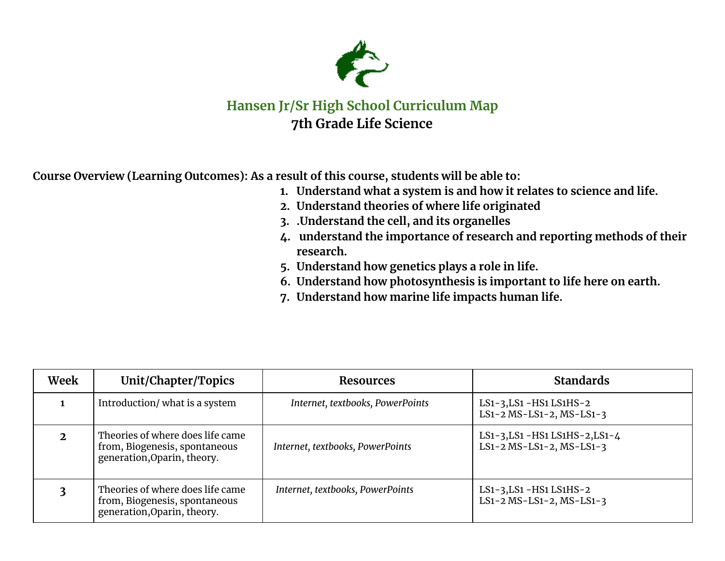

## **Hansen Jr/Sr High School Curriculum Map 7th Grade Life Science**

**Course Overview (Learning Outcomes): As a result of this course, students will be able to:**

- **1. Understand what a system is and how it relates to science and life.**
- **2. Understand theories of where life originated**
- **3. .Understand the cell, and its organelles**
- **4. understand the importance of research and reporting methods of their research.**
- **5. Understand how genetics plays a role in life.**
- **6. Understand how photosynthesis is important to life here on earth.**
- **7. Understand how marine life impacts human life.**

| Week | Unit/Chapter/Topics                                                                              | <b>Resources</b>                 | <b>Standards</b>                                              |
|------|--------------------------------------------------------------------------------------------------|----------------------------------|---------------------------------------------------------------|
|      | Introduction/ what is a system                                                                   | Internet, textbooks, PowerPoints | LS1-3, LS1 - HS1 LS1 HS-2<br>$LS1-2 MS-LS1-2, MS-LS1-3$       |
|      | Theories of where does life came<br>from, Biogenesis, spontaneous<br>generation, Oparin, theory. | Internet, textbooks, PowerPoints | LS1-3, LS1 - HS1 LS1HS-2, LS1-4<br>$LS1-2 MS-LS1-2, MS-LS1-3$ |
|      | Theories of where does life came<br>from, Biogenesis, spontaneous<br>generation, Oparin, theory. | Internet, textbooks, PowerPoints | LS1-3, LS1 - HS1 LS1 HS-2<br>$LS1-2 MS-LS1-2, MS-LS1-3$       |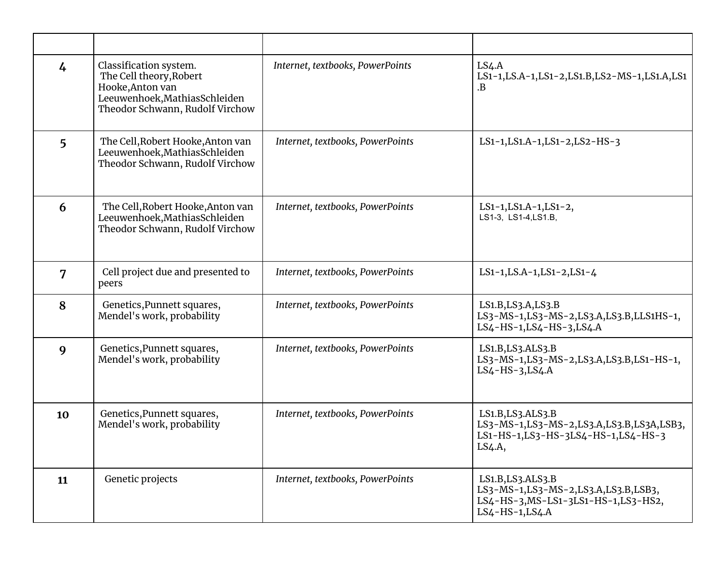| $\frac{1}{4}$ | Classification system.<br>The Cell theory, Robert<br>Hooke, Anton van<br>Leeuwenhoek, Mathias Schleiden<br>Theodor Schwann, Rudolf Virchow | Internet, textbooks, PowerPoints | LS4.A<br>LS1-1, LS.A-1, LS1-2, LS1.B, LS2-MS-1, LS1.A, LS1<br>.B                                                     |
|---------------|--------------------------------------------------------------------------------------------------------------------------------------------|----------------------------------|----------------------------------------------------------------------------------------------------------------------|
| 5             | The Cell, Robert Hooke, Anton van<br>Leeuwenhoek, Mathias Schleiden<br>Theodor Schwann, Rudolf Virchow                                     | Internet, textbooks, PowerPoints | LS1-1, LS1. A-1, LS1-2, LS2-HS-3                                                                                     |
| 6             | The Cell, Robert Hooke, Anton van<br>Leeuwenhoek, Mathias Schleiden<br>Theodor Schwann, Rudolf Virchow                                     | Internet, textbooks, PowerPoints | LS1-1, LS1. A-1, LS1-2,<br>LS1-3, LS1-4, LS1.B,                                                                      |
| 7             | Cell project due and presented to<br>peers                                                                                                 | Internet, textbooks, PowerPoints | LS1-1, LS.A-1, LS1-2, LS1-4                                                                                          |
| 8             | Genetics, Punnett squares,<br>Mendel's work, probability                                                                                   | Internet, textbooks, PowerPoints | LS1.B, LS3.A, LS3.B<br>LS3-MS-1,LS3-MS-2,LS3.A,LS3.B,LLS1HS-1,<br>LS4-HS-1, LS4-HS-3, LS4. A                         |
| 9             | Genetics, Punnett squares,<br>Mendel's work, probability                                                                                   | Internet, textbooks, PowerPoints | LS1.B, LS3.ALS3.B<br>LS3-MS-1,LS3-MS-2,LS3.A,LS3.B,LS1-HS-1,<br>$LS4-HS-3,LS4.A$                                     |
| 10            | Genetics, Punnett squares,<br>Mendel's work, probability                                                                                   | Internet, textbooks, PowerPoints | LS1.B, LS3.ALS3.B<br>LS3-MS-1,LS3-MS-2,LS3.A,LS3.B,LS3A,LSB3,<br>LS1-HS-1,LS3-HS-3LS4-HS-1,LS4-HS-3<br>LS4.A,        |
| 11            | Genetic projects                                                                                                                           | Internet, textbooks, PowerPoints | LS1.B, LS3.ALS3.B<br>LS3-MS-1,LS3-MS-2,LS3.A,LS3.B,LSB3,<br>LS4-HS-3, MS-LS1-3LS1-HS-1, LS3-HS2,<br>$LS4-HS-1,LS4.A$ |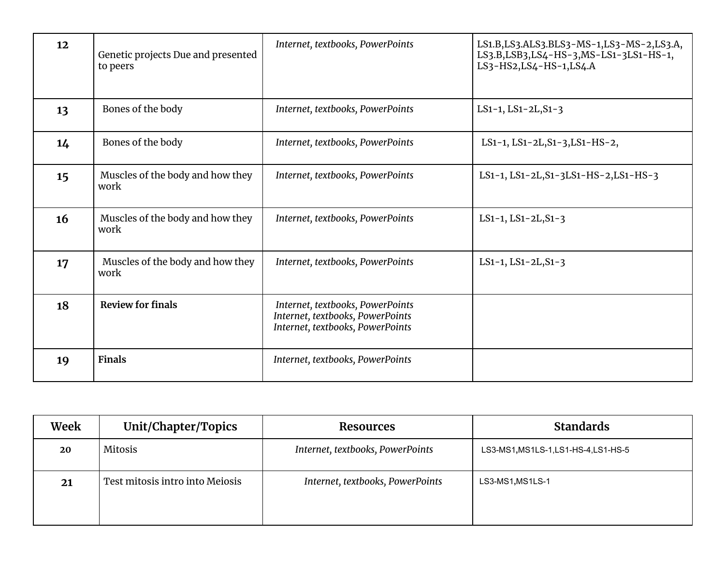| 12 | Genetic projects Due and presented<br>to peers | Internet, textbooks, PowerPoints                                                                         | LS1.B, LS3.ALS3.BLS3-MS-1, LS3-MS-2, LS3.A,<br>LS3.B,LSB3,LS4-HS-3,MS-LS1-3LS1-HS-1,<br>LS3-HS2, LS4-HS-1, LS4. A |
|----|------------------------------------------------|----------------------------------------------------------------------------------------------------------|-------------------------------------------------------------------------------------------------------------------|
| 13 | Bones of the body                              | Internet, textbooks, PowerPoints                                                                         | $LS1-1, LS1-2L, S1-3$                                                                                             |
| 14 | Bones of the body                              | Internet, textbooks, PowerPoints                                                                         | LS1-1, LS1-2L, S1-3, LS1-HS-2,                                                                                    |
| 15 | Muscles of the body and how they<br>work       | Internet, textbooks, PowerPoints                                                                         | LS1-1, LS1-2L, S1-3LS1-HS-2, LS1-HS-3                                                                             |
| 16 | Muscles of the body and how they<br>work       | Internet, textbooks, PowerPoints                                                                         | LS1-1, LS1-2L, $S1-3$                                                                                             |
| 17 | Muscles of the body and how they<br>work       | Internet, textbooks, PowerPoints                                                                         | $LS1-1, LS1-2L, S1-3$                                                                                             |
| 18 | <b>Review for finals</b>                       | Internet, textbooks, PowerPoints<br>Internet, textbooks, PowerPoints<br>Internet, textbooks, PowerPoints |                                                                                                                   |
| 19 | <b>Finals</b>                                  | Internet, textbooks, PowerPoints                                                                         |                                                                                                                   |

| Week | Unit/Chapter/Topics             | <b>Resources</b>                 | <b>Standards</b>                     |
|------|---------------------------------|----------------------------------|--------------------------------------|
| 20   | Mitosis                         | Internet, textbooks, PowerPoints | LS3-MS1, MS1LS-1, LS1-HS-4, LS1-HS-5 |
| 21   | Test mitosis intro into Meiosis | Internet, textbooks, PowerPoints | LS3-MS1, MS1LS-1                     |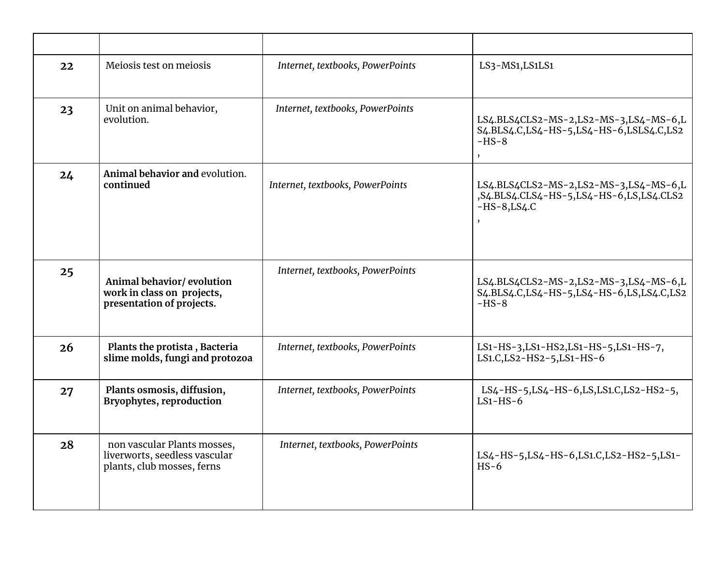| 22 | Meiosis test on meiosis                                                                    | Internet, textbooks, PowerPoints | LS3-MS1, LS1LS1                                                                                        |
|----|--------------------------------------------------------------------------------------------|----------------------------------|--------------------------------------------------------------------------------------------------------|
| 23 | Unit on animal behavior,<br>evolution.                                                     | Internet, textbooks, PowerPoints | LS4.BLS4CLS2-MS-2,LS2-MS-3,LS4-MS-6,L<br>S4.BLS4.C,LS4-HS-5,LS4-HS-6,LSLS4.C,LS2<br>$-HS-8$<br>$\cdot$ |
| 24 | Animal behavior and evolution.<br>continued                                                | Internet, textbooks, PowerPoints | LS4.BLS4CLS2-MS-2,LS2-MS-3,LS4-MS-6,L<br>,S4.BLS4.CLS4-HS-5,LS4-HS-6,LS,LS4.CLS2<br>$-HS-8$ , LS4.C    |
| 25 | Animal behavior/evolution<br>work in class on projects,<br>presentation of projects.       | Internet, textbooks, PowerPoints | LS4.BLS4CLS2-MS-2,LS2-MS-3,LS4-MS-6,L<br>S4.BLS4.C,LS4-HS-5,LS4-HS-6,LS,LS4.C,LS2<br>$-HS-8$           |
| 26 | Plants the protista, Bacteria<br>slime molds, fungi and protozoa                           | Internet, textbooks, PowerPoints | LS1-HS-3, LS1-HS2, LS1-HS-5, LS1-HS-7,<br>LS1.C, LS2-HS2-5, LS1-HS-6                                   |
| 27 | Plants osmosis, diffusion,<br><b>Bryophytes, reproduction</b>                              | Internet, textbooks, PowerPoints | LS4-HS-5, LS4-HS-6, LS, LS1.C, LS2-HS2-5,<br>$LS1-HS-6$                                                |
| 28 | non vascular Plants mosses,<br>liverworts, seedless vascular<br>plants, club mosses, ferns | Internet, textbooks, PowerPoints | LS4-HS-5, LS4-HS-6, LS1.C, LS2-HS2-5, LS1-<br>$HS-6$                                                   |